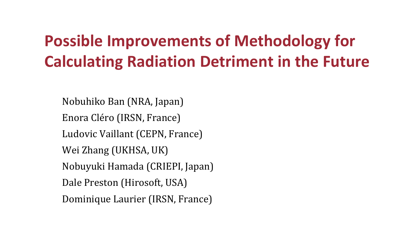# **Possible Improvements of Methodology for Calculating Radiation Detriment in the Future**

Nobuhiko Ban (NRA, Japan) Enora Cléro (IRSN, France) Ludovic Vaillant (CEPN, France) Wei Zhang (UKHSA, UK) Nobuyuki Hamada (CRIEPI, Japan) Dale Preston (Hirosoft, USA) Dominique Laurier (IRSN, France)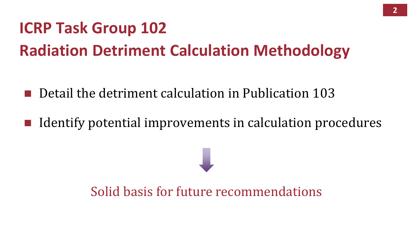# **ICRP Task Group 102 Radiation Detriment Calculation Methodology**

■ Detail the detriment calculation in Publication 103

■ Identify potential improvements in calculation procedures

Solid basis for future recommendations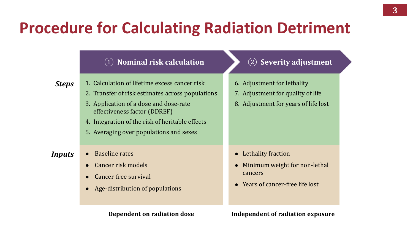## **Procedure for Calculating Radiation Detriment**

#### ① **Nominal risk calculation** ② **Severity adjustment**

*Steps*

- 1. Calculation of lifetime excess cancer risk
	- 2. Transfer of risk estimates across populations
	- 3. Application of a dose and dose-rate effectiveness factor (DDREF)
	- 4. Integration of the risk of heritable effects
	- 5. Averaging over populations and sexes

- *Inputs* Baseline rates
	- ⚫ Cancer risk models
	- ⚫ Cancer-free survival
	- ⚫ Age-distribution of populations

- 6. Adjustment for lethality
- 7. Adjustment for quality of life
- 8. Adjustment for years of life lost

- ⚫ Lethality fraction
- ⚫ Minimum weight for non-lethal cancers
- ⚫ Years of cancer-free life lost

#### **Dependent on radiation dose Independent of radiation exposure**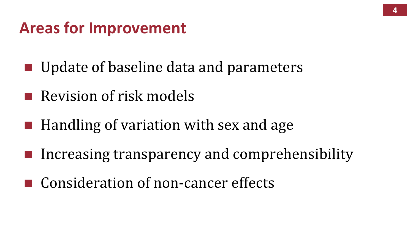#### **Areas for Improvement**

- Update of baseline data and parameters
- Revision of risk models
- $\blacksquare$  Handling of variation with sex and age
- Increasing transparency and comprehensibility
- Consideration of non-cancer effects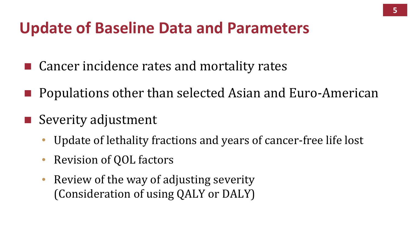#### **Update of Baseline Data and Parameters**

- Cancer incidence rates and mortality rates
- Populations other than selected Asian and Euro-American
- Severity adjustment
	- Update of lethality fractions and years of cancer-free life lost
	- Revision of QOL factors
	- Review of the way of adjusting severity (Consideration of using QALY or DALY)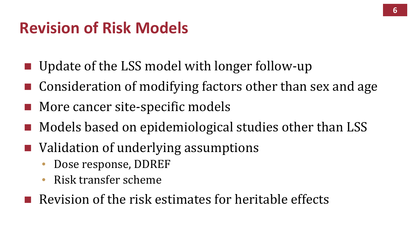### **Revision of Risk Models**

- Update of the LSS model with longer follow-up
- $\blacksquare$  Consideration of modifying factors other than sex and age
- More cancer site-specific models
- Models based on epidemiological studies other than LSS
- Validation of underlying assumptions
	- Dose response, DDREF
	- Risk transfer scheme
- $\blacksquare$  Revision of the risk estimates for heritable effects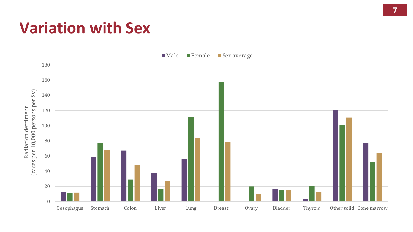#### **Variation with Sex**



Male Female Sex average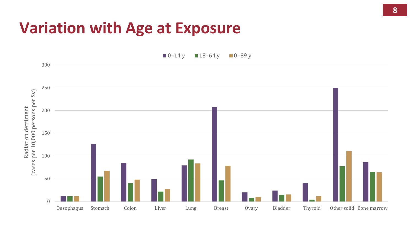#### **Variation with Age at Exposure**

 $\blacksquare$  0–14 y  $\blacksquare$  18–64 y  $\blacksquare$  0–89 y

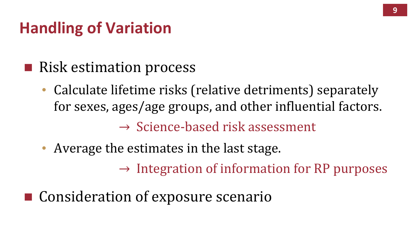## **Handling of Variation**

- Risk estimation process
	- Calculate lifetime risks (relative detriments) separately for sexes, ages/age groups, and other influential factors.  $\rightarrow$  Science-based risk assessment
	- Average the estimates in the last stage.

 $\rightarrow$  Integration of information for RP purposes

■ Consideration of exposure scenario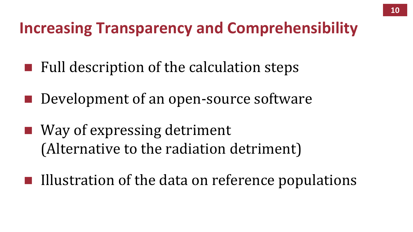### **Increasing Transparency and Comprehensibility**

- $\blacksquare$  Full description of the calculation steps
- Development of an open-source software
- Way of expressing detriment (Alternative to the radiation detriment)
- $\blacksquare$  Illustration of the data on reference populations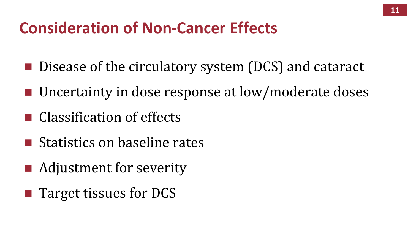### **Consideration of Non-Cancer Effects**

- Disease of the circulatory system (DCS) and cataract
- Uncertainty in dose response at low/moderate doses
- $\blacksquare$  Classification of effects
- $\blacksquare$  Statistics on baseline rates
- Adjustment for severity
- Target tissues for DCS